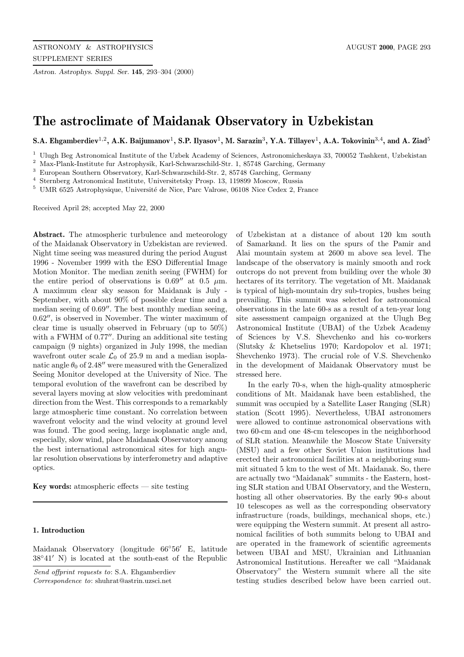*Astron. Astrophys. Suppl. Ser.* **145**, 293–304 (2000)

# **The astroclimate of Maidanak Observatory in Uzbekistan**

**S.A. Ehgamberdiev**<sup>1</sup>,<sup>2</sup>**, A.K. Baijumanov**<sup>1</sup>**, S.P. Ilyasov**<sup>1</sup>**, M. Sarazin**<sup>3</sup>**, Y.A. Tillayev**<sup>1</sup>**, A.A. Tokovinin**<sup>3</sup>,<sup>4</sup>**, and A. Ziad**<sup>5</sup>

<sup>1</sup> Ulugh Beg Astronomical Institute of the Uzbek Academy of Sciences, Astronomicheskaya 33, 700052 Tashkent, Uzbekistan

<sup>2</sup> Max-Plank-Institute fur Astrophysik, Karl-Schwarzschild-Str. 1, 85748 Garching, Germany

<sup>3</sup> European Southern Observatory, Karl-Schwarzschild-Str. 2, 85748 Garching, Germany

<sup>4</sup> Sternberg Astronomical Institute, Universitetsky Prosp. 13, 119899 Moscow, Russia

 $5$  UMR 6525 Astrophysique, Université de Nice, Parc Valrose, 06108 Nice Cedex 2, France

Received April 28; accepted May 22, 2000

**Abstract.** The atmospheric turbulence and meteorology of the Maidanak Observatory in Uzbekistan are reviewed. Night time seeing was measured during the period August 1996 - November 1999 with the ESO Differential Image Motion Monitor. The median zenith seeing (FWHM) for the entire period of observations is 0.69" at 0.5  $\mu$ m. A maximum clear sky season for Maidanak is July - September, with about 90% of possible clear time and a median seeing of  $0.69''$ . The best monthly median seeing,  $0.62''$ , is observed in November. The winter maximum of clear time is usually observed in February (up to 50%) with a FWHM of  $0.77''$ . During an additional site testing campaign (9 nights) organized in July 1998, the median wavefront outer scale  $\mathcal{L}_0$  of 25.9 m and a median isoplanatic angle  $\theta_0$  of 2.48" were measured with the Generalized Seeing Monitor developed at the University of Nice. The temporal evolution of the wavefront can be described by several layers moving at slow velocities with predominant direction from the West. This corresponds to a remarkably large atmospheric time constant. No correlation between wavefront velocity and the wind velocity at ground level was found. The good seeing, large isoplanatic angle and, especially, slow wind, place Maidanak Observatory among the best international astronomical sites for high angular resolution observations by interferometry and adaptive optics.

**Key words:** atmospheric effects — site testing

# **1. Introduction**

Maidanak Observatory (longitude  $66°56'$  E, latitude  $38°41'$  N) is located at the south-east of the Republic

Send offprint requests to: S.A. Ehgamberdiev

Correspondence to: shuhrat@astrin.uzsci.net

of Uzbekistan at a distance of about 120 km south of Samarkand. It lies on the spurs of the Pamir and Alai mountain system at 2600 m above sea level. The landscape of the observatory is mainly smooth and rock outcrops do not prevent from building over the whole 30 hectares of its territory. The vegetation of Mt. Maidanak is typical of high-mountain dry sub-tropics, bushes being prevailing. This summit was selected for astronomical observations in the late 60-s as a result of a ten-year long site assessment campaign organized at the Ulugh Beg Astronomical Institute (UBAI) of the Uzbek Academy of Sciences by V.S. Shevchenko and his co-workers (Slutsky & Khetselius 1970; Kardopolov et al. 1971; Shevchenko 1973). The crucial role of V.S. Shevchenko in the development of Maidanak Observatory must be stressed here.

In the early 70-s, when the high-quality atmospheric conditions of Mt. Maidanak have been established, the summit was occupied by a Satellite Laser Ranging (SLR) station (Scott 1995). Nevertheless, UBAI astronomers were allowed to continue astronomical observations with two 60-cm and one 48-cm telescopes in the neighborhood of SLR station. Meanwhile the Moscow State University (MSU) and a few other Soviet Union institutions had erected their astronomical facilities at a neighboring summit situated 5 km to the west of Mt. Maidanak. So, there are actually two "Maidanak" summits - the Eastern, hosting SLR station and UBAI Observatory, and the Western, hosting all other observatories. By the early 90-s about 10 telescopes as well as the corresponding observatory infrastructure (roads, buildings, mechanical shops, etc.) were equipping the Western summit. At present all astronomical facilities of both summits belong to UBAI and are operated in the framework of scientific agreements between UBAI and MSU, Ukrainian and Lithuanian Astronomical Institutions. Hereafter we call "Maidanak Observatory" the Western summit where all the site testing studies described below have been carried out.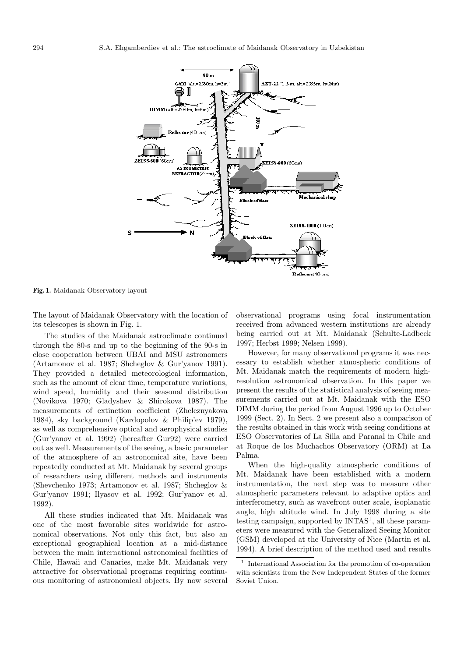

**Fig. 1.** Maidanak Observatory layout

The layout of Maidanak Observatory with the location of its telescopes is shown in Fig. 1.

The studies of the Maidanak astroclimate continued through the 80-s and up to the beginning of the 90-s in close cooperation between UBAI and MSU astronomers (Artamonov et al. 1987; Shcheglov & Gur'yanov 1991). They provided a detailed meteorological information, such as the amount of clear time, temperature variations, wind speed, humidity and their seasonal distribution (Novikova 1970; Gladyshev & Shirokova 1987). The measurements of extinction coefficient (Zheleznyakova 1984), sky background (Kardopolov & Philip'ev 1979), as well as comprehensive optical and aerophysical studies (Gur'yanov et al. 1992) (hereafter Gur92) were carried out as well. Measurements of the seeing, a basic parameter of the atmosphere of an astronomical site, have been repeatedly conducted at Mt. Maidanak by several groups of researchers using different methods and instruments (Shevchenko 1973; Artamonov et al. 1987; Shcheglov & Gur'yanov 1991; Ilyasov et al. 1992; Gur'yanov et al. 1992).

All these studies indicated that Mt. Maidanak was one of the most favorable sites worldwide for astronomical observations. Not only this fact, but also an exceptional geographical location at a mid-distance between the main international astronomical facilities of Chile, Hawaii and Canaries, make Mt. Maidanak very attractive for observational programs requiring continuous monitoring of astronomical objects. By now several

observational programs using focal instrumentation received from advanced western institutions are already being carried out at Mt. Maidanak (Schulte-Ladbeck 1997; Herbst 1999; Nelsen 1999).

However, for many observational programs it was necessary to establish whether atmospheric conditions of Mt. Maidanak match the requirements of modern highresolution astronomical observation. In this paper we present the results of the statistical analysis of seeing measurements carried out at Mt. Maidanak with the ESO DIMM during the period from August 1996 up to October 1999 (Sect. 2). In Sect. 2 we present also a comparison of the results obtained in this work with seeing conditions at ESO Observatories of La Silla and Paranal in Chile and at Roque de los Muchachos Observatory (ORM) at La Palma.

When the high-quality atmospheric conditions of Mt. Maidanak have been established with a modern instrumentation, the next step was to measure other atmospheric parameters relevant to adaptive optics and interferometry, such as wavefront outer scale, isoplanatic angle, high altitude wind. In July 1998 during a site testing campaign, supported by  $INTAS<sup>1</sup>$ , all these parameters were measured with the Generalized Seeing Monitor (GSM) developed at the University of Nice (Martin et al. 1994). A brief description of the method used and results

<sup>1</sup> International Association for the promotion of co-operation with scientists from the New Independent States of the former Soviet Union.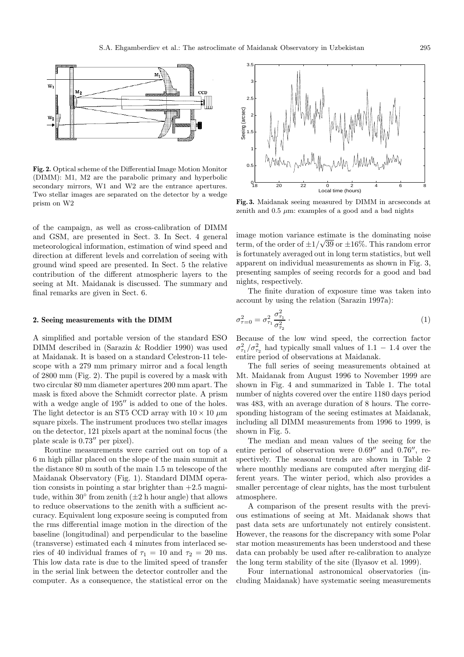

**Fig. 2.** Optical scheme of the Differential Image Motion Monitor (DIMM): M1, M2 are the parabolic primary and hyperbolic secondary mirrors, W1 and W2 are the entrance apertures. Two stellar images are separated on the detector by a wedge prism on W2

of the campaign, as well as cross-calibration of DIMM and GSM, are presented in Sect. 3. In Sect. 4 general meteorological information, estimation of wind speed and direction at different levels and correlation of seeing with ground wind speed are presented. In Sect. 5 the relative contribution of the different atmospheric layers to the seeing at Mt. Maidanak is discussed. The summary and final remarks are given in Sect. 6.

## **2. Seeing measurements with the DIMM**

A simplified and portable version of the standard ESO DIMM described in (Sarazin & Roddier 1990) was used at Maidanak. It is based on a standard Celestron-11 telescope with a 279 mm primary mirror and a focal length of 2800 mm (Fig. 2). The pupil is covered by a mask with two circular 80 mm diameter apertures 200 mm apart. The mask is fixed above the Schmidt corrector plate. A prism with a wedge angle of  $195''$  is added to one of the holes. The light detector is an ST5 CCD array with  $10 \times 10 \ \mu m$ square pixels. The instrument produces two stellar images on the detector, 121 pixels apart at the nominal focus (the plate scale is  $0.73''$  per pixel).

Routine measurements were carried out on top of a 6 m high pillar placed on the slope of the main summit at the distance 80 m south of the main 1.5 m telescope of the Maidanak Observatory (Fig. 1). Standard DIMM operation consists in pointing a star brighter than  $+2.5$  magnitude, within 30 $\degree$  from zenith ( $\pm 2$  h hour angle) that allows to reduce observations to the zenith with a sufficient accuracy. Equivalent long exposure seeing is computed from the rms differential image motion in the direction of the baseline (longitudinal) and perpendicular to the baseline (transverse) estimated each 4 minutes from interlaced series of 40 individual frames of  $\tau_1 = 10$  and  $\tau_2 = 20$  ms. This low data rate is due to the limited speed of transfer in the serial link between the detector controller and the computer. As a consequence, the statistical error on the



**Fig. 3.** Maidanak seeing measured by DIMM in arcseconds at zenith and  $0.5 \mu m$ : examples of a good and a bad nights

image motion variance estimate is the dominating noise term, of the order of  $\pm 1/\sqrt{39}$  or  $\pm 16\%$ . This random error is fortunately averaged out in long term statistics, but well apparent on individual measurements as shown in Fig. 3, presenting samples of seeing records for a good and bad nights, respectively.

The finite duration of exposure time was taken into account by using the relation (Sarazin 1997a):

$$
\sigma_{\tau=0}^2 = \sigma_{\tau_1}^2 \frac{\sigma_{\tau_1}^2}{\sigma_{\tau_2}^2} \,. \tag{1}
$$

Because of the low wind speed, the correction factor  $\sigma_{\tau_1}^2/\sigma_{\tau_2}^2$  had typically small values of 1.1 – 1.4 over the entire period of observations at Maidanak.

The full series of seeing measurements obtained at Mt. Maidanak from August 1996 to November 1999 are shown in Fig. 4 and summarized in Table 1. The total number of nights covered over the entire 1180 days period was 483, with an average duration of 8 hours. The corresponding histogram of the seeing estimates at Maidanak, including all DIMM measurements from 1996 to 1999, is shown in Fig. 5.

The median and mean values of the seeing for the entire period of observation were  $0.69''$  and  $0.76''$ , respectively. The seasonal trends are shown in Table 2 where monthly medians are computed after merging different years. The winter period, which also provides a smaller percentage of clear nights, has the most turbulent atmosphere.

A comparison of the present results with the previous estimations of seeing at Mt. Maidanak shows that past data sets are unfortunately not entirely consistent. However, the reasons for the discrepancy with some Polar star motion measurements has been understood and these data can probably be used after re-calibration to analyze the long term stability of the site (Ilyasov et al. 1999).

Four international astronomical observatories (including Maidanak) have systematic seeing measurements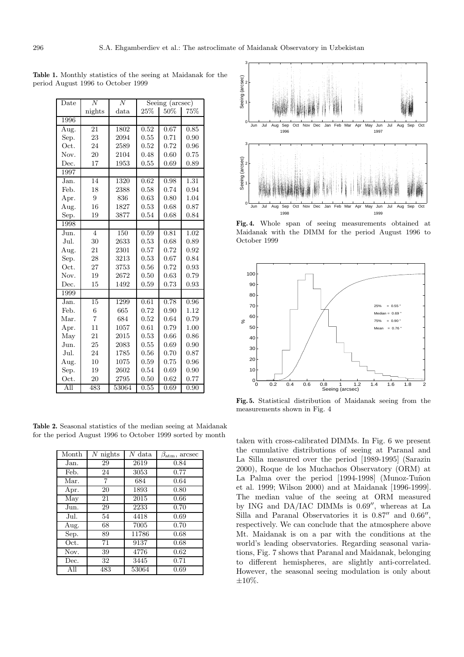| Date               | N               | N             | Seeing (arcsec) |        |      |
|--------------------|-----------------|---------------|-----------------|--------|------|
|                    | nights          | $_{\rm data}$ | 25%             | $50\%$ | 75%  |
| 1996               |                 |               |                 |        |      |
| Aug.               | 21              | 1802          | 0.52            | 0.67   | 0.85 |
| Sep.               | 23              | 2094          | 0.55            | 0.71   | 0.90 |
| Oct.               | 24              | 2589          | 0.52            | 0.72   | 0.96 |
| Nov.               | 20              | 2104          | 0.48            | 0.60   | 0.75 |
| Dec.               | 17              | 1953          | 0.55            | 0.69   | 0.89 |
| 1997               |                 |               |                 |        |      |
| Jan.               | $\overline{14}$ | 1320          | 0.62            | 0.98   | 1.31 |
| Feb.               | 18              | 2388          | 0.58            | 0.74   | 0.94 |
| Apr.               | 9               | 836           | 0.63            | 0.80   | 1.04 |
| Aug.               | 16              | 1827          | 0.53            | 0.68   | 0.87 |
| Sep.               | 19              | 3877          | 0.54            | 0.68   | 0.84 |
| 1998               |                 |               |                 |        |      |
| $J$ un.            | $\overline{4}$  | 150           | 0.59            | 0.81   | 1.02 |
| Jul.               | 30              | 2633          | 0.53            | 0.68   | 0.89 |
| Aug.               | 21              | 2301          | 0.57            | 0.72   | 0.92 |
| Sep.               | 28              | 3213          | 0.53            | 0.67   | 0.84 |
| Oct.               | 27              | 3753          | $0.56\,$        | 0.72   | 0.93 |
| Nov.               | 19              | 2672          | 0.50            | 0.63   | 0.79 |
| Dec.               | 15              | 1492          | 0.59            | 0.73   | 0.93 |
| 1999               |                 |               |                 |        |      |
| $\overline{J}$ an. | 15              | 1299          | 0.61            | 0.78   | 0.96 |
| Feb.               | 6               | 665           | 0.72            | 0.90   | 1.12 |
| Mar.               | $\overline{7}$  | 684           | 0.52            | 0.64   | 0.79 |
| Apr.               | 11              | 1057          | 0.61            | 0.79   | 1.00 |
| May                | 21              | 2015          | 0.53            | 0.66   | 0.86 |
| Jun.               | 25              | 2083          | 0.55            | 0.69   | 0.90 |
| Jul.               | 24              | 1785          | 0.56            | 0.70   | 0.87 |
| Aug.               | 10              | 1075          | 0.59            | 0.75   | 0.96 |
| Sep.               | 19              | 2602          | 0.54            | 0.69   | 0.90 |
| Oct.               | 20              | 2795          | 0.50            | 0.62   | 0.77 |
| All                | 483             | 53064         | 0.55            | 0.69   | 0.90 |

**Table 1.** Monthly statistics of the seeing at Maidanak for the period August 1996 to October 1999

**Table 2.** Seasonal statistics of the median seeing at Maidanak for the period August 1996 to October 1999 sorted by month

| Month | $N$ nights | $N$ data | $\beta_{\rm atm}, \, \rm arcsec$ |
|-------|------------|----------|----------------------------------|
| Jan.  | 29         | 2619     | 0.84                             |
| Feb.  | 24         | 3053     | 0.77                             |
| Mar.  | 7          | 684      | 0.64                             |
| Apr.  | 20         | 1893     | 0.80                             |
| May   | 21         | 2015     | 0.66                             |
| Jun.  | 29         | 2233     | 0.70                             |
| Jul.  | 54         | 4418     | 0.69                             |
| Aug.  | 68         | 7005     | 0.70                             |
| Sep.  | 89         | 11786    | 0.68                             |
| Oct.  | 71         | 9137     | 0.68                             |
| Nov.  | 39         | 4776     | 0.62                             |
| Dec.  | 32         | 3445     | 0.71                             |
| All   | 483        | 53064    | 0.69                             |



**Fig. 4.** Whole span of seeing measurements obtained at Maidanak with the DIMM for the period August 1996 to October 1999



**Fig. 5.** Statistical distribution of Maidanak seeing from the measurements shown in Fig. 4

taken with cross-calibrated DIMMs. In Fig. 6 we present the cumulative distributions of seeing at Paranal and La Silla measured over the period [1989-1995] (Sarazin 2000), Roque de los Muchachos Observatory (ORM) at La Palma over the period [1994-1998] (Munoz-Tuñon et al. 1999; Wilson 2000) and at Maidanak [1996-1999]. The median value of the seeing at ORM measured by ING and DA/IAC DIMMs is  $0.69''$ , whereas at La Silla and Paranal Observatories it is  $0.87''$  and  $0.66''$ , respectively. We can conclude that the atmosphere above Mt. Maidanak is on a par with the conditions at the world's leading observatories. Regarding seasonal variations, Fig. 7 shows that Paranal and Maidanak, belonging to different hemispheres, are slightly anti-correlated. However, the seasonal seeing modulation is only about  $\pm 10\%$ .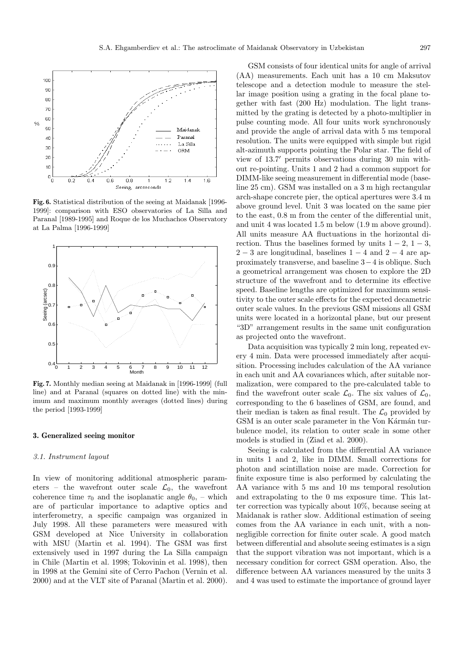

**Fig. 6.** Statistical distribution of the seeing at Maidanak [1996- 1999]: comparison with ESO observatories of La Silla and Paranal [1989-1995] and Roque de los Muchachos Observatory at La Palma [1996-1999]



**Fig. 7.** Monthly median seeing at Maidanak in [1996-1999] (full line) and at Paranal (squares on dotted line) with the minimum and maximum monthly averages (dotted lines) during the period [1993-1999]

## **3. Generalized seeing monitor**

#### 3.1. Instrument layout

In view of monitoring additional atmospheric parameters – the wavefront outer scale  $\mathcal{L}_0$ , the wavefront coherence time  $\tau_0$  and the isoplanatic angle  $\theta_0$ , – which are of particular importance to adaptive optics and interferometry, a specific campaign was organized in July 1998. All these parameters were measured with GSM developed at Nice University in collaboration with MSU (Martin et al. 1994). The GSM was first extensively used in 1997 during the La Silla campaign in Chile (Martin et al. 1998; Tokovinin et al. 1998), then in 1998 at the Gemini site of Cerro Pachon (Vernin et al. 2000) and at the VLT site of Paranal (Martin et al. 2000).

GSM consists of four identical units for angle of arrival (AA) measurements. Each unit has a 10 cm Maksutov telescope and a detection module to measure the stellar image position using a grating in the focal plane together with fast (200 Hz) modulation. The light transmitted by the grating is detected by a photo-multiplier in pulse counting mode. All four units work synchronously and provide the angle of arrival data with 5 ms temporal resolution. The units were equipped with simple but rigid alt-azimuth supports pointing the Polar star. The field of view of  $13.7^{\prime}$  permits observations during 30 min without re-pointing. Units 1 and 2 had a common support for DIMM-like seeing measurement in differential mode (baseline 25 cm). GSM was installed on a 3 m high rectangular arch-shape concrete pier, the optical apertures were 3.4 m above ground level. Unit 3 was located on the same pier to the east, 0.8 m from the center of the differential unit, and unit 4 was located 1.5 m below (1.9 m above ground). All units measure AA fluctuations in the horizontal direction. Thus the baselines formed by units  $1 - 2$ ,  $1 - 3$ ,  $2 - 3$  are longitudinal, baselines  $1 - 4$  and  $2 - 4$  are approximately transverse, and baseline 3−4 is oblique. Such a geometrical arrangement was chosen to explore the 2D structure of the wavefront and to determine its effective speed. Baseline lengths are optimized for maximum sensitivity to the outer scale effects for the expected decametric outer scale values. In the previous GSM missions all GSM units were located in a horizontal plane, but our present "3D" arrangement results in the same unit configuration as projected onto the wavefront.

Data acquisition was typically 2 min long, repeated every 4 min. Data were processed immediately after acquisition. Processing includes calculation of the AA variance in each unit and AA covariances which, after suitable normalization, were compared to the pre-calculated table to find the wavefront outer scale  $\mathcal{L}_0$ . The six values of  $\mathcal{L}_0$ , corresponding to the 6 baselines of GSM, are found, and their median is taken as final result. The  $\mathcal{L}_0$  provided by GSM is an outer scale parameter in the Von Kármán turbulence model, its relation to outer scale in some other models is studied in (Ziad et al. 2000).

Seeing is calculated from the differential AA variance in units 1 and 2, like in DIMM. Small corrections for photon and scintillation noise are made. Correction for finite exposure time is also performed by calculating the AA variance with 5 ms and 10 ms temporal resolution and extrapolating to the 0 ms exposure time. This latter correction was typically about 10%, because seeing at Maidanak is rather slow. Additional estimation of seeing comes from the AA variance in each unit, with a nonnegligible correction for finite outer scale. A good match between differential and absolute seeing estimates is a sign that the support vibration was not important, which is a necessary condition for correct GSM operation. Also, the difference between AA variances measured by the units 3 and 4 was used to estimate the importance of ground layer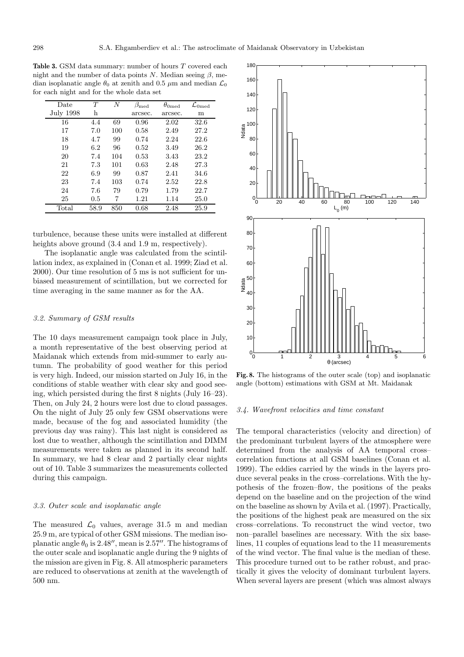**Table 3.** GSM data summary: number of hours T covered each night and the number of data points N. Median seeing  $\beta$ , median isoplanatic angle  $\theta_0$  at zenith and 0.5  $\mu$ m and median  $\mathcal{L}_0$ for each night and for the whole data set

| Date           | T    | N   | $\beta_{\rm med}$ | $\theta_{0\text{med}}$ | $\mathcal{L}_{0\text{med}}$ |
|----------------|------|-----|-------------------|------------------------|-----------------------------|
| July 1998      | h    |     | arcsec.           | arcsec.                | m                           |
| 16             | 4.4  | 69  | 0.96              | 2.02                   | 32.6                        |
| 17             | 7.0  | 100 | 0.58              | 2.49                   | 27.2                        |
| 18             | 4.7  | 99  | 0.74              | 2.24                   | 22.6                        |
| 19             | 6.2  | 96  | 0.52              | 3.49                   | 26.2                        |
| 20             | 7.4  | 104 | 0.53              | 3.43                   | 23.2                        |
| 21             | 7.3  | 101 | 0.63              | 2.48                   | 27.3                        |
| 22             | 6.9  | 99  | 0.87              | 2.41                   | 34.6                        |
| 23             | 7.4  | 103 | 0.74              | 2.52                   | 22.8                        |
| 24             | 7.6  | 79  | 0.79              | 1.79                   | 22.7                        |
| 25             | 0.5  | 7   | 1.21              | 1.14                   | 25.0                        |
| $_{\rm Total}$ | 58.9 | 850 | 0.68              | 2.48                   | 25.9                        |

turbulence, because these units were installed at different heights above ground  $(3.4 \text{ and } 1.9 \text{ m}, \text{ respectively}).$ 

The isoplanatic angle was calculated from the scintillation index, as explained in (Conan et al. 1999; Ziad et al. 2000). Our time resolution of 5 ms is not sufficient for unbiased measurement of scintillation, but we corrected for time averaging in the same manner as for the AA.

## 3.2. Summary of GSM results

The 10 days measurement campaign took place in July, a month representative of the best observing period at Maidanak which extends from mid-summer to early autumn. The probability of good weather for this period is very high. Indeed, our mission started on July 16, in the conditions of stable weather with clear sky and good seeing, which persisted during the first 8 nights (July 16–23). Then, on July 24, 2 hours were lost due to cloud passages. On the night of July 25 only few GSM observations were made, because of the fog and associated humidity (the previous day was rainy). This last night is considered as lost due to weather, although the scintillation and DIMM measurements were taken as planned in its second half. In summary, we had 8 clear and 2 partially clear nights out of 10. Table 3 summarizes the measurements collected during this campaign.

# 3.3. Outer scale and isoplanatic angle

The measured  $\mathcal{L}_0$  values, average 31.5 m and median 25.9 m, are typical of other GSM missions. The median isoplanatic angle  $\theta_0$  is 2.48", mean is 2.57". The histograms of the outer scale and isoplanatic angle during the 9 nights of the mission are given in Fig. 8. All atmospheric parameters are reduced to observations at zenith at the wavelength of 500 nm.



**Fig. 8.** The histograms of the outer scale (top) and isoplanatic angle (bottom) estimations with GSM at Mt. Maidanak

## 3.4. Wavefront velocities and time constant

The temporal characteristics (velocity and direction) of the predominant turbulent layers of the atmosphere were determined from the analysis of AA temporal cross– correlation functions at all GSM baselines (Conan et al. 1999). The eddies carried by the winds in the layers produce several peaks in the cross–correlations. With the hypothesis of the frozen–flow, the positions of the peaks depend on the baseline and on the projection of the wind on the baseline as shown by Avila et al. (1997). Practically, the positions of the highest peak are measured on the six cross–correlations. To reconstruct the wind vector, two non–parallel baselines are necessary. With the six baselines, 11 couples of equations lead to the 11 measurements of the wind vector. The final value is the median of these. This procedure turned out to be rather robust, and practically it gives the velocity of dominant turbulent layers. When several layers are present (which was almost always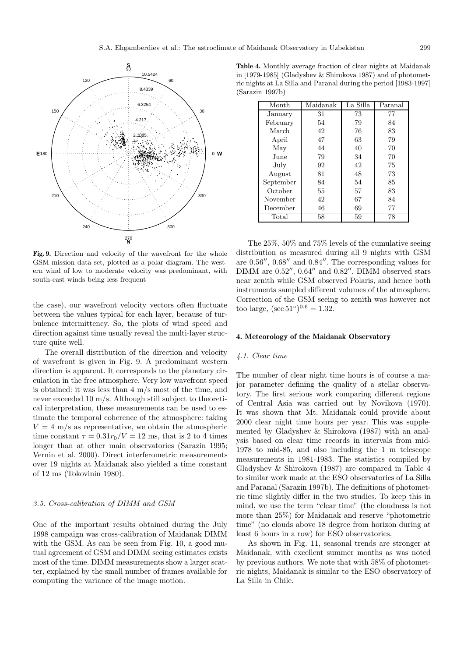

**Fig. 9.** Direction and velocity of the wavefront for the whole GSM mission data set, plotted as a polar diagram. The western wind of low to moderate velocity was predominant, with south-east winds being less frequent

the case), our wavefront velocity vectors often fluctuate between the values typical for each layer, because of turbulence intermittency. So, the plots of wind speed and direction against time usually reveal the multi-layer structure quite well.

The overall distribution of the direction and velocity of wavefront is given in Fig. 9. A predominant western direction is apparent. It corresponds to the planetary circulation in the free atmosphere. Very low wavefront speed is obtained: it was less than 4 m/s most of the time, and never exceeded 10 m/s. Although still subject to theoretical interpretation, these measurements can be used to estimate the temporal coherence of the atmosphere: taking  $V = 4$  m/s as representative, we obtain the atmospheric time constant  $\tau = 0.31r_0/V = 12$  ms, that is 2 to 4 times longer than at other main observatories (Sarazin 1995; Vernin et al. 2000). Direct interferometric measurements over 19 nights at Maidanak also yielded a time constant of 12 ms (Tokovinin 1980).

## 3.5. Cross-calibration of DIMM and GSM

One of the important results obtained during the July 1998 campaign was cross-calibration of Maidanak DIMM with the GSM. As can be seen from Fig. 10, a good mutual agreement of GSM and DIMM seeing estimates exists most of the time. DIMM measurements show a larger scatter, explained by the small number of frames available for computing the variance of the image motion.

**Table 4.** Monthly average fraction of clear nights at Maidanak in [1979-1985] (Gladyshev & Shirokova 1987) and of photometric nights at La Silla and Paranal during the period [1983-1997] (Sarazin 1997b)

| Maidanak<br>La Silla<br>Month |         |
|-------------------------------|---------|
|                               | Paranal |
| 73<br>31<br>January           | 77      |
| 54<br>79<br>February          | 84      |
| March<br>42<br>76             | 83      |
| 47<br>63<br>April             | 79      |
| May<br>44<br>40               | 70      |
| June<br>79<br>34              | 70      |
| 92<br>42.<br>July             | 75      |
| 81<br>48<br>August            | 73      |
| September<br>84<br>54         | 85      |
| October<br>55<br>57           | 83      |
| November<br>42<br>67          | 84      |
| December<br>46<br>69          | 77      |
| 58<br>Total<br>59             | 78      |

The 25%, 50% and 75% levels of the cumulative seeing distribution as measured during all 9 nights with GSM are  $0.56''$ ,  $0.68''$  and  $0.84''$ . The corresponding values for DIMM are  $0.52$ ",  $0.64$ " and  $0.82$ ". DIMM observed stars near zenith while GSM observed Polaris, and hence both instruments sampled different volumes of the atmosphere. Correction of the GSM seeing to zenith was however not too large,  $(\sec 51^\circ)^{0.6} = 1.32$ .

## **4. Meteorology of the Maidanak Observatory**

## 4.1. Clear time

The number of clear night time hours is of course a major parameter defining the quality of a stellar observatory. The first serious work comparing different regions of Central Asia was carried out by Novikova (1970). It was shown that Mt. Maidanak could provide about 2000 clear night time hours per year. This was supplemented by Gladyshev & Shirokova (1987) with an analysis based on clear time records in intervals from mid-1978 to mid-85, and also including the 1 m telescope measurements in 1981-1983. The statistics compiled by Gladyshev & Shirokova (1987) are compared in Table 4 to similar work made at the ESO observatories of La Silla and Paranal (Sarazin 1997b). The definitions of photometric time slightly differ in the two studies. To keep this in mind, we use the term "clear time" (the cloudness is not more than 25%) for Maidanak and reserve "photometric time" (no clouds above 18 degree from horizon during at least 6 hours in a row) for ESO observatories.

As shown in Fig. 11, seasonal trends are stronger at Maidanak, with excellent summer months as was noted by previous authors. We note that with 58% of photometric nights, Maidanak is similar to the ESO observatory of La Silla in Chile.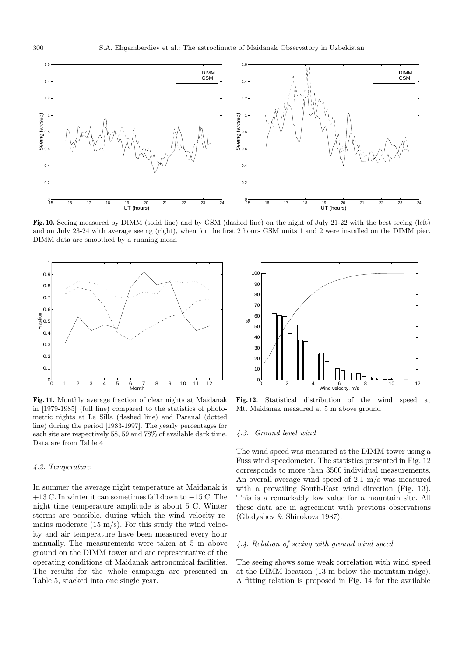

**Fig. 10.** Seeing measured by DIMM (solid line) and by GSM (dashed line) on the night of July 21-22 with the best seeing (left) and on July 23-24 with average seeing (right), when for the first 2 hours GSM units 1 and 2 were installed on the DIMM pier. DIMM data are smoothed by a running mean



**Fig. 11.** Monthly average fraction of clear nights at Maidanak in [1979-1985] (full line) compared to the statistics of photometric nights at La Silla (dashed line) and Paranal (dotted line) during the period [1983-1997]. The yearly percentages for each site are respectively 58, 59 and 78% of available dark time. Data are from Table 4

## 4.2. Temperature

In summer the average night temperature at Maidanak is +13 C. In winter it can sometimes fall down to −15 C. The night time temperature amplitude is about 5 C. Winter storms are possible, during which the wind velocity remains moderate  $(15 \text{ m/s})$ . For this study the wind velocity and air temperature have been measured every hour manually. The measurements were taken at 5 m above ground on the DIMM tower and are representative of the operating conditions of Maidanak astronomical facilities. The results for the whole campaign are presented in Table 5, stacked into one single year.



**Fig. 12.** Statistical distribution of the wind speed at Mt. Maidanak measured at 5 m above ground

## 4.3. Ground level wind

The wind speed was measured at the DIMM tower using a Fuss wind speedometer. The statistics presented in Fig. 12 corresponds to more than 3500 individual measurements. An overall average wind speed of 2.1 m/s was measured with a prevailing South-East wind direction (Fig. 13). This is a remarkably low value for a mountain site. All these data are in agreement with previous observations (Gladyshev & Shirokova 1987).

## 4.4. Relation of seeing with ground wind speed

The seeing shows some weak correlation with wind speed at the DIMM location (13 m below the mountain ridge). A fitting relation is proposed in Fig. 14 for the available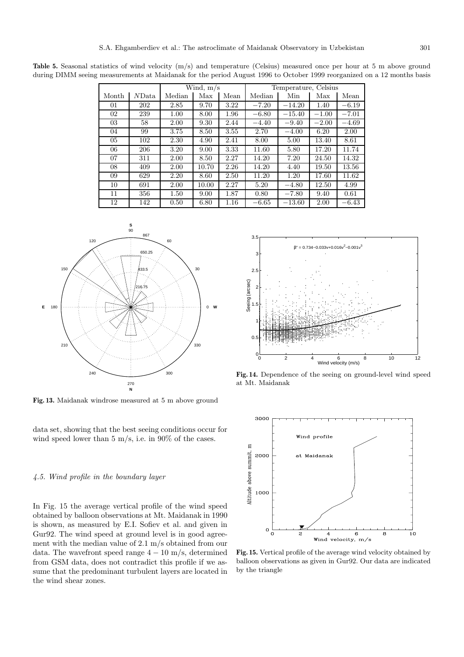**Table 5.** Seasonal statistics of wind velocity  $(m/s)$  and temperature (Celsius) measured once per hour at 5 m above ground during DIMM seeing measurements at Maidanak for the period August 1996 to October 1999 reorganized on a 12 months basis

|       |       | Wind, $m/s$ |       |      | Temperature, Celsius |          |         |         |
|-------|-------|-------------|-------|------|----------------------|----------|---------|---------|
| Month | NData | Median      | Max   | Mean | Median               | Min      | Max     | Mean    |
| 01    | 202   | 2.85        | 9.70  | 3.22 | $-7.20$              | $-14.20$ | 1.40    | $-6.19$ |
| 02    | 239   | 1.00        | 8.00  | 1.96 | $-6.80$              | $-15.40$ | $-1.00$ | $-7.01$ |
| 03    | 58    | 2.00        | 9.30  | 2.44 | $-4.40$              | $-9.40$  | $-2.00$ | $-4.69$ |
| 04    | 99    | 3.75        | 8.50  | 3.55 | 2.70                 | $-4.00$  | 6.20    | 2.00    |
| 05    | 102   | 2.30        | 4.90  | 2.41 | 8.00                 | 5.00     | 13.40   | 8.61    |
| 06    | 206   | 3.20        | 9.00  | 3.33 | 11.60                | 5.80     | 17.20   | 11.74   |
| 07    | 311   | 2.00        | 8.50  | 2.27 | 14.20                | 7.20     | 24.50   | 14.32   |
| 08    | 409   | 2.00        | 10.70 | 2.26 | 14.20                | 4.40     | 19.50   | 13.56   |
| 09    | 629   | 2.20        | 8.60  | 2.50 | 11.20                | 1.20     | 17.60   | 11.62   |
| 10    | 691   | 2.00        | 10.00 | 2.27 | 5.20                 | $-4.80$  | 12.50   | 4.99    |
| 11    | 356   | 1.50        | 9.00  | 1.87 | 0.80                 | $-7.80$  | 9.40    | 0.61    |
| 12    | 142   | 0.50        | 6.80  | 1.16 | $-6.65$              | $-13.60$ | 2.00    | $-6.43$ |



**Fig. 13.** Maidanak windrose measured at 5 m above ground

data set, showing that the best seeing conditions occur for wind speed lower than 5 m/s, i.e. in 90% of the cases.

## 4.5. Wind profile in the boundary layer

In Fig. 15 the average vertical profile of the wind speed obtained by balloon observations at Mt. Maidanak in 1990 is shown, as measured by E.I. Sofiev et al. and given in Gur92. The wind speed at ground level is in good agreement with the median value of 2.1 m/s obtained from our data. The wavefront speed range  $4 - 10$  m/s, determined from GSM data, does not contradict this profile if we assume that the predominant turbulent layers are located in the wind shear zones.



**Fig. 14.** Dependence of the seeing on ground-level wind speed at Mt. Maidanak



**Fig. 15.** Vertical profile of the average wind velocity obtained by balloon observations as given in Gur92. Our data are indicated by the triangle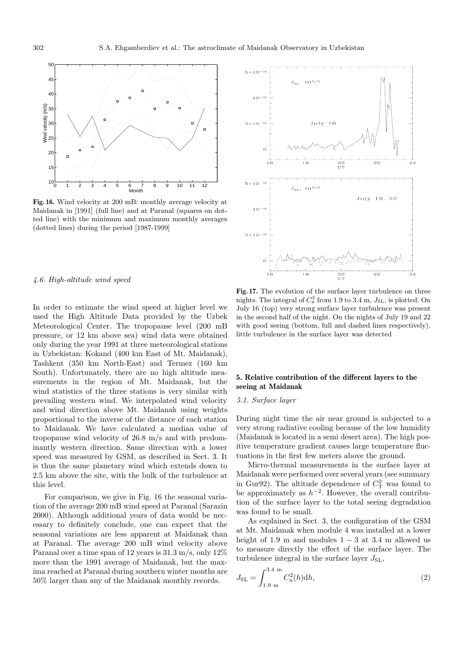

**Fig. 16.** Wind velocity at 200 mB: monthly average velocity at Maidanak in [1991] (full line) and at Paranal (squares on dotted line) with the minimum and maximum monthly averages (dotted lines) during the period [1987-1999]



#### 4.6. High-altitude wind speed

In order to estimate the wind speed at higher level we used the High Altitude Data provided by the Uzbek Meteorological Center. The tropopause level (200 mB pressure, or 12 km above sea) wind data were obtained only during the year 1991 at three meteorological stations in Uzbekistan: Kokand (400 km East of Mt. Maidanak), Tashkent (350 km North-East) and Termez (160 km South). Unfortunately, there are no high altitude measurements in the region of Mt. Maidanak, but the wind statistics of the three stations is very similar with prevailing western wind. We interpolated wind velocity and wind direction above Mt. Maidanak using weights proportional to the inverse of the distance of each station to Maidanak. We have calculated a median value of tropopause wind velocity of 26.8 m/s and with predominantly western direction. Same direction with a lower speed was measured by GSM, as described in Sect. 3. It is thus the same planetary wind which extends down to 2.5 km above the site, with the bulk of the turbulence at this level.

For comparison, we give in Fig. 16 the seasonal variation of the average 200 mB wind speed at Paranal (Sarazin 2000). Although additional years of data would be necessary to definitely conclude, one can expect that the seasonal variations are less apparent at Maidanak than at Paranal. The average 200 mB wind velocity above Paranal over a time span of 12 years is 31.3 m/s, only 12% more than the 1991 average of Maidanak, but the maxima reached at Paranal during southern winter months are 50% larger than any of the Maidanak monthly records.

**Fig. 17.** The evolution of the surface layer turbulence on three nights. The integral of  $C_n^2$  from 1.9 to 3.4 m,  $J_{\text{SL}}$ , is plotted. On July 16 (top) very strong surface layer turbulence was present in the second half of the night. On the nights of July 19 and 22 with good seeing (bottom, full and dashed lines respectively), little turbulence in the surface layer was detected

# **5. Relative contribution of the different layers to the seeing at Maidanak**

## 5.1. Surface layer

During night time the air near ground is subjected to a very strong radiative cooling because of the low humidity (Maidanak is located in a semi desert area). The high positive temperature gradient causes large temperature fluctuations in the first few meters above the ground.

Micro-thermal measurements in the surface layer at Maidanak were performed over several years (see summary in Gur92). The altitude dependence of  $C<sub>T</sub><sup>2</sup>$  was found to be approximately as  $h^{-2}$ . However, the overall contribution of the surface layer to the total seeing degradation was found to be small.

As explained in Sect. 3, the configuration of the GSM at Mt. Maidanak when module 4 was installed at a lower height of 1.9 m and modules  $1-3$  at 3.4 m allowed us to measure directly the effect of the surface layer. The turbulence integral in the surface layer  $J_{SL}$ ,

$$
J_{\rm SL} = \int_{1.9 \text{ m}}^{3.4 \text{ m}} C_{\rm n}^{2}(h) \mathrm{d}h,\tag{2}
$$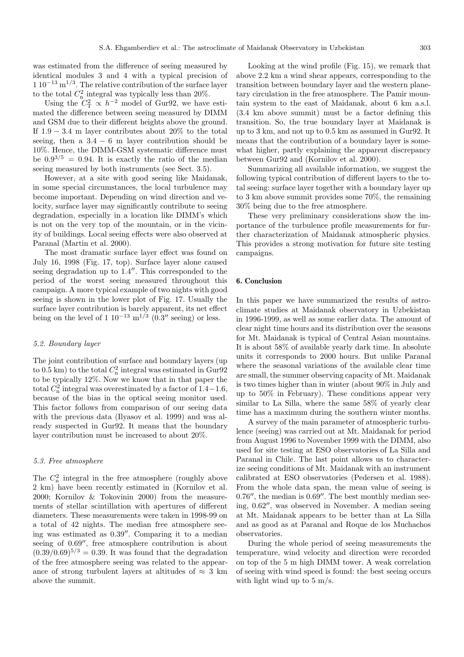was estimated from the difference of seeing measured by identical modules 3 and 4 with a typical precision of  $1.10^{-13}$  m<sup>1/3</sup>. The relative contribution of the surface layer to the total  $C_n^2$  integral was typically less than 20%.

Using the  $C_{\rm T}^2 \propto h^{-2}$  model of Gur92, we have estimated the difference between seeing measured by DIMM and GSM due to their different heights above the ground. If  $1.9 - 3.4$  m layer contributes about 20% to the total seeing, then a  $3.4 - 6$  m layer contribution should be 10%. Hence, the DIMM-GSM systematic difference must be  $0.9^{3/5} = 0.94$ . It is exactly the ratio of the median seeing measured by both instruments (see Sect. 3.5).

However, at a site with good seeing like Maidanak, in some special circumstances, the local turbulence may become important. Depending on wind direction and velocity, surface layer may significantly contribute to seeing degradation, especially in a location like DIMM's which is not on the very top of the mountain, or in the vicinity of buildings. Local seeing effects were also observed at Paranal (Martin et al. 2000).

The most dramatic surface layer effect was found on July 16, 1998 (Fig. 17, top). Surface layer alone caused seeing degradation up to  $1.4$ ". This corresponded to the period of the worst seeing measured throughout this campaign. A more typical example of two nights with good seeing is shown in the lower plot of Fig. 17. Usually the surface layer contribution is barely apparent, its net effect being on the level of 1 10<sup>-13</sup> m<sup>1/3</sup> (0.3" seeing) or less.

#### 5.2. Boundary layer

The joint contribution of surface and boundary layers (up to 0.5 km) to the total  $C_n^2$  integral was estimated in Gur92 to be typically 12%. Now we know that in that paper the total  $C_n^2$  integral was overestimated by a factor of 1.4−1.6, because of the bias in the optical seeing monitor used. This factor follows from comparison of our seeing data with the previous data (Ilyasov et al. 1999) and was already suspected in Gur92. It means that the boundary layer contribution must be increased to about 20%.

#### 5.3. Free atmosphere

The  $C_n^2$  integral in the free atmosphere (roughly above 2 km) have been recently estimated in (Kornilov et al. 2000; Kornilov & Tokovinin 2000) from the measurements of stellar scintillation with apertures of different diameters. These measurements were taken in 1998-99 on a total of 42 nights. The median free atmosphere seeing was estimated as  $0.39''$ . Comparing it to a median seeing of  $0.69''$ , free atmosphere contribution is about  $(0.39/0.69)^{5/3} = 0.39$ . It was found that the degradation of the free atmosphere seeing was related to the appearance of strong turbulent layers at altitudes of  $\approx 3$  km above the summit.

Looking at the wind profile (Fig. 15), we remark that above 2.2 km a wind shear appears, corresponding to the transition between boundary layer and the western planetary circulation in the free atmosphere. The Pamir mountain system to the east of Maidanak, about 6 km a.s.l. (3.4 km above summit) must be a factor defining this transition. So, the true boundary layer at Maidanak is up to 3 km, and not up to 0.5 km as assumed in Gur92. It means that the contribution of a boundary layer is somewhat higher, partly explaining the apparent discrepancy between Gur92 and (Kornilov et al. 2000).

Summarizing all available information, we suggest the following typical contribution of different layers to the total seeing: surface layer together with a boundary layer up to 3 km above summit provides some 70%, the remaining 30% being due to the free atmosphere.

These very preliminary considerations show the importance of the turbulence profile measurements for further characterization of Maidanak atmospheric physics. This provides a strong motivation for future site testing campaigns.

## **6. Conclusion**

In this paper we have summarized the results of astroclimate studies at Maidanak observatory in Uzbekistan in 1996-1999, as well as some earlier data. The amount of clear night time hours and its distribution over the seasons for Mt. Maidanak is typical of Central Asian mountains. It is about 58% of available yearly dark time. In absolute units it corresponds to 2000 hours. But unlike Paranal where the seasonal variations of the available clear time are small, the summer observing capacity of Mt. Maidanak is two times higher than in winter (about 90% in July and up to 50% in February). These conditions appear very similar to La Silla, where the same 58% of yearly clear time has a maximum during the southern winter months.

A survey of the main parameter of atmospheric turbulence (seeing) was carried out at Mt. Maidanak for period from August 1996 to November 1999 with the DIMM, also used for site testing at ESO observatories of La Silla and Paranal in Chile. The last point allows us to characterize seeing conditions of Mt. Maidanak with an instrument calibrated at ESO observatories (Pedersen et al. 1988). From the whole data span, the mean value of seeing is  $0.76''$ , the median is  $0.69''$ . The best monthly median seeing,  $0.62$ ", was observed in November. A median seeing at Mt. Maidanak appears to be better than at La Silla and as good as at Paranal and Roque de los Muchachos observatories.

During the whole period of seeing measurements the temperature, wind velocity and direction were recorded on top of the 5 m high DIMM tower. A weak correlation of seeing with wind speed is found: the best seeing occurs with light wind up to 5 m/s.